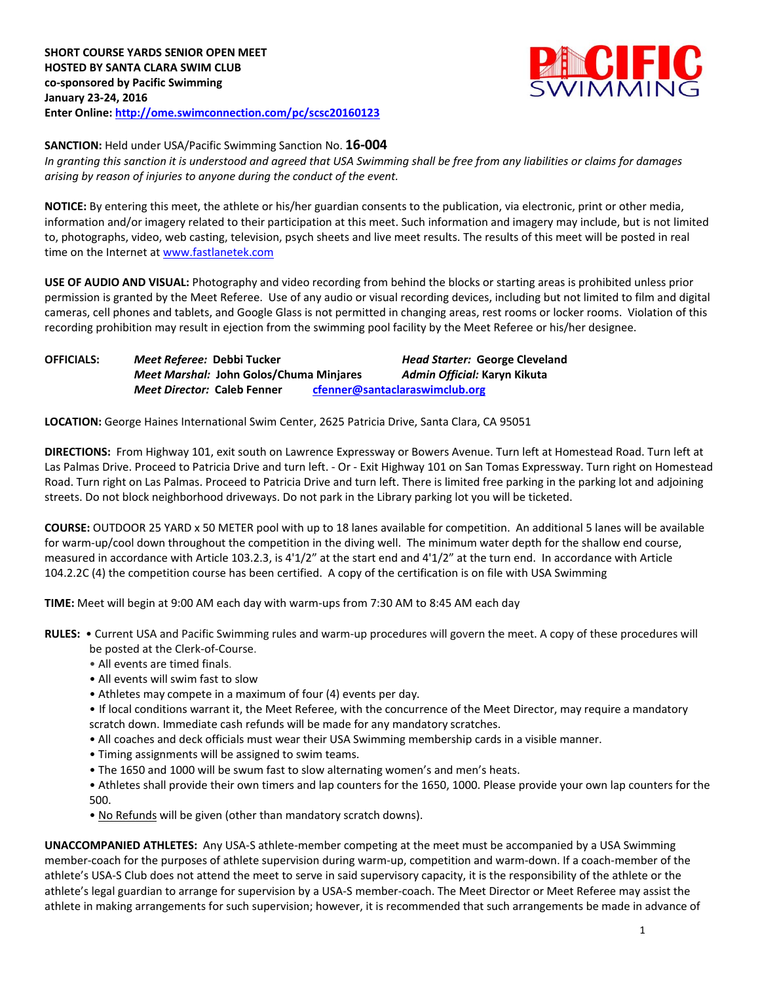

**SANCTION:** Held under USA/Pacific Swimming Sanction No. **16-004**

*In granting this sanction it is understood and agreed that USA Swimming shall be free from any liabilities or claims for damages arising by reason of injuries to anyone during the conduct of the event.*

**NOTICE:** By entering this meet, the athlete or his/her guardian consents to the publication, via electronic, print or other media, information and/or imagery related to their participation at this meet. Such information and imagery may include, but is not limited to, photographs, video, web casting, television, psych sheets and live meet results. The results of this meet will be posted in real time on the Internet at [www.fastlanetek.com](http://www.fastlanetek.com/)

**USE OF AUDIO AND VISUAL:** Photography and video recording from behind the blocks or starting areas is prohibited unless prior permission is granted by the Meet Referee. Use of any audio or visual recording devices, including but not limited to film and digital cameras, cell phones and tablets, and Google Glass is not permitted in changing areas, rest rooms or locker rooms. Violation of this recording prohibition may result in ejection from the swimming pool facility by the Meet Referee or his/her designee.

**OFFICIALS:** *Meet Referee:* **Debbi Tucker** *Head Starter:* **George Cleveland** *Meet Marshal:* **John Golos/Chuma Minjares** *Admin Official:* **Karyn Kikuta** *Meet Director:* **Caleb Fenner [cfenner@santaclaraswimclub.org](mailto:cfenner@santaclaraswimclub.org)**

**LOCATION:** George Haines International Swim Center, 2625 Patricia Drive, Santa Clara, CA 95051

**DIRECTIONS:** From Highway 101, exit south on Lawrence Expressway or Bowers Avenue. Turn left at Homestead Road. Turn left at Las Palmas Drive. Proceed to Patricia Drive and turn left. - Or - Exit Highway 101 on San Tomas Expressway. Turn right on Homestead Road. Turn right on Las Palmas. Proceed to Patricia Drive and turn left. There is limited free parking in the parking lot and adjoining streets. Do not block neighborhood driveways. Do not park in the Library parking lot you will be ticketed.

**COURSE:** OUTDOOR 25 YARD x 50 METER pool with up to 18 lanes available for competition. An additional 5 lanes will be available for warm-up/cool down throughout the competition in the diving well. The minimum water depth for the shallow end course, measured in accordance with Article 103.2.3, is 4'1/2" at the start end and 4'1/2" at the turn end. In accordance with Article 104.2.2C (4) the competition course has been certified. A copy of the certification is on file with USA Swimming

**TIME:** Meet will begin at 9:00 AM each day with warm-ups from 7:30 AM to 8:45 AM each day

**RULES:** • Current USA and Pacific Swimming rules and warm-up procedures will govern the meet. A copy of these procedures will be posted at the Clerk-of-Course.

- All events are timed finals.
- All events will swim fast to slow
- Athletes may compete in a maximum of four (4) events per day.

• If local conditions warrant it, the Meet Referee, with the concurrence of the Meet Director, may require a mandatory scratch down. Immediate cash refunds will be made for any mandatory scratches.

- All coaches and deck officials must wear their USA Swimming membership cards in a visible manner.
- Timing assignments will be assigned to swim teams.
- The 1650 and 1000 will be swum fast to slow alternating women's and men's heats.

• Athletes shall provide their own timers and lap counters for the 1650, 1000. Please provide your own lap counters for the 500.

• No Refunds will be given (other than mandatory scratch downs).

**UNACCOMPANIED ATHLETES:** Any USA-S athlete-member competing at the meet must be accompanied by a USA Swimming member-coach for the purposes of athlete supervision during warm-up, competition and warm-down. If a coach-member of the athlete's USA-S Club does not attend the meet to serve in said supervisory capacity, it is the responsibility of the athlete or the athlete's legal guardian to arrange for supervision by a USA-S member-coach. The Meet Director or Meet Referee may assist the athlete in making arrangements for such supervision; however, it is recommended that such arrangements be made in advance of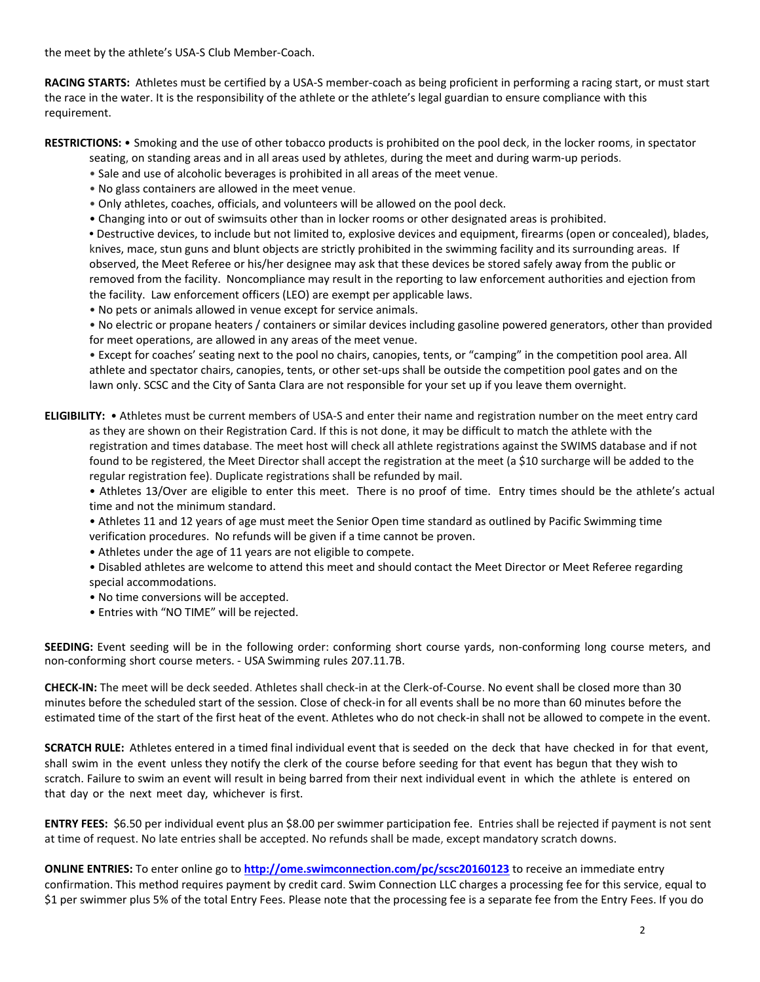the meet by the athlete's USA-S Club Member-Coach.

**RACING STARTS:** Athletes must be certified by a USA-S member-coach as being proficient in performing a racing start, or must start the race in the water. It is the responsibility of the athlete or the athlete's legal guardian to ensure compliance with this requirement.

**RESTRICTIONS:** • Smoking and the use of other tobacco products is prohibited on the pool deck, in the locker rooms, in spectator

- seating, on standing areas and in all areas used by athletes, during the meet and during warm-up periods.
- Sale and use of alcoholic beverages is prohibited in all areas of the meet venue.
- No glass containers are allowed in the meet venue.
- Only athletes, coaches, officials, and volunteers will be allowed on the pool deck.
- Changing into or out of swimsuits other than in locker rooms or other designated areas is prohibited.

**•** Destructive devices, to include but not limited to, explosive devices and equipment, firearms (open or concealed), blades, knives, mace, stun guns and blunt objects are strictly prohibited in the swimming facility and its surrounding areas. If observed, the Meet Referee or his/her designee may ask that these devices be stored safely away from the public or removed from the facility. Noncompliance may result in the reporting to law enforcement authorities and ejection from the facility. Law enforcement officers (LEO) are exempt per applicable laws.

• No pets or animals allowed in venue except for service animals.

• No electric or propane heaters / containers or similar devices including gasoline powered generators, other than provided for meet operations, are allowed in any areas of the meet venue.

• Except for coaches' seating next to the pool no chairs, canopies, tents, or "camping" in the competition pool area. All athlete and spectator chairs, canopies, tents, or other set-ups shall be outside the competition pool gates and on the lawn only. SCSC and the City of Santa Clara are not responsible for your set up if you leave them overnight.

**ELIGIBILITY:** • Athletes must be current members of USA-S and enter their name and registration number on the meet entry card as they are shown on their Registration Card. If this is not done, it may be difficult to match the athlete with the registration and times database. The meet host will check all athlete registrations against the SWIMS database and if not found to be registered, the Meet Director shall accept the registration at the meet (a \$10 surcharge will be added to the regular registration fee). Duplicate registrations shall be refunded by mail.

• Athletes 13/Over are eligible to enter this meet. There is no proof of time. Entry times should be the athlete's actual time and not the minimum standard.

- Athletes 11 and 12 years of age must meet the Senior Open time standard as outlined by Pacific Swimming time verification procedures. No refunds will be given if a time cannot be proven.
- Athletes under the age of 11 years are not eligible to compete.
- Disabled athletes are welcome to attend this meet and should contact the Meet Director or Meet Referee regarding special accommodations.
- No time conversions will be accepted.
- Entries with "NO TIME" will be rejected.

**SEEDING:** Event seeding will be in the following order: conforming short course yards, non-conforming long course meters, and non-conforming short course meters. - USA Swimming rules 207.11.7B.

**CHECK-IN:** The meet will be deck seeded. Athletes shall check-in at the Clerk-of-Course. No event shall be closed more than 30 minutes before the scheduled start of the session. Close of check‐in for all events shall be no more than 60 minutes before the estimated time of the start of the first heat of the event. Athletes who do not check-in shall not be allowed to compete in the event.

**SCRATCH RULE:** Athletes entered in a timed final individual event that is seeded on the deck that have checked in for that event, shall swim in the event unless they notify the clerk of the course before seeding for that event has begun that they wish to scratch. Failure to swim an event will result in being barred from their next individual event in which the athlete is entered on that day or the next meet day, whichever is first.

**ENTRY FEES:** \$6.50 per individual event plus an \$8.00 per swimmer participation fee. Entries shall be rejected if payment is not sent at time of request. No late entries shall be accepted. No refunds shall be made, except mandatory scratch downs.

**ONLINE ENTRIES:** To enter online go to **<http://ome.swimconnection.com/pc/scsc20160123>** to receive an immediate entry confirmation. This method requires payment by credit card. Swim Connection LLC charges a processing fee for this service, equal to \$1 per swimmer plus 5% of the total Entry Fees. Please note that the processing fee is a separate fee from the Entry Fees. If you do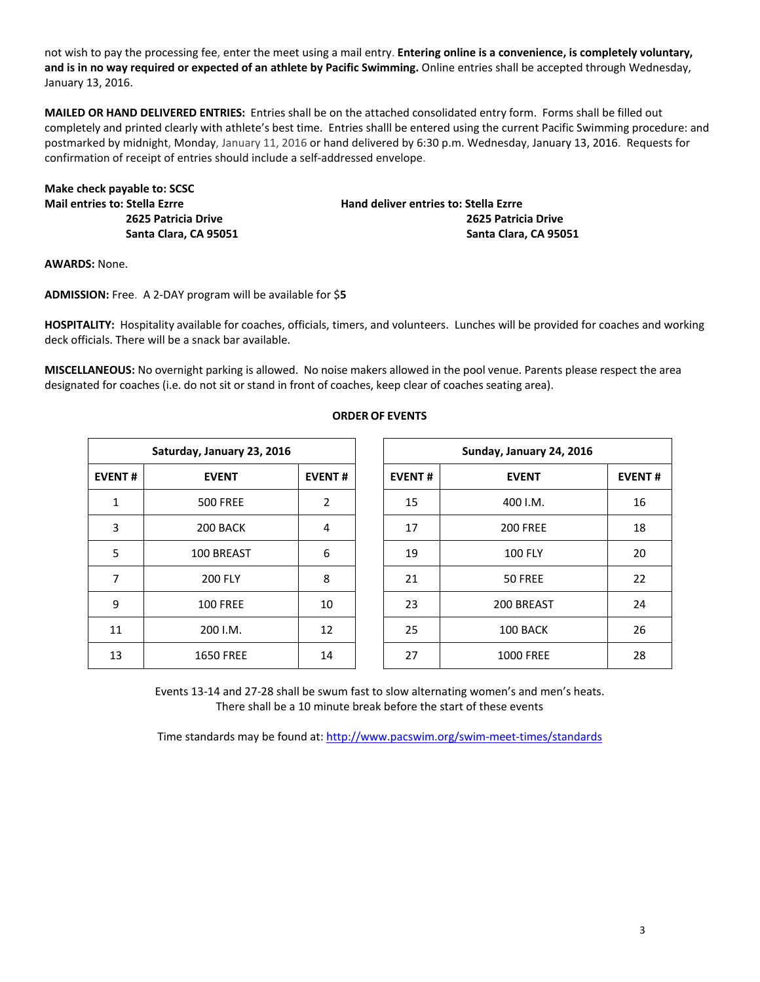not wish to pay the processing fee, enter the meet using a mail entry. **Entering online is a convenience, is completely voluntary, and is in no way required or expected of an athlete by Pacific Swimming.** Online entries shall be accepted through Wednesday, January 13, 2016.

**MAILED OR HAND DELIVERED ENTRIES:** Entries shall be on the attached consolidated entry form. Forms shall be filled out completely and printed clearly with athlete's best time. Entries shalll be entered using the current Pacific Swimming procedure: and postmarked by midnight, Monday, January 11, 2016 or hand delivered by 6:30 p.m. Wednesday, January 13, 2016. Requests for confirmation of receipt of entries should include a self-addressed envelope.

| Make check payable to: SCSC          |
|--------------------------------------|
| <b>Mail entries to: Stella Ezrre</b> |
| 2625 Patricia Drive                  |
| Santa Clara, CA 95051                |

**Mail entries to: Stella Ezrre Hand deliver entries to: Stella Ezrre 2625 Patricia Drive 2625 Patricia Drive Santa Clara, CA 95051 Santa Clara, CA 95051**

**AWARDS:** None.

**ADMISSION:** Free. A 2-DAY program will be available for \$**5**

**HOSPITALITY:** Hospitality available for coaches, officials, timers, and volunteers. Lunches will be provided for coaches and working deck officials. There will be a snack bar available.

**MISCELLANEOUS:** No overnight parking is allowed. No noise makers allowed in the pool venue. Parents please respect the area designated for coaches (i.e. do not sit or stand in front of coaches, keep clear of coaches seating area).

| Saturday, January 23, 2016 |                  |               |  |  |  |  |  |  |  |
|----------------------------|------------------|---------------|--|--|--|--|--|--|--|
| <b>EVENT#</b>              | <b>EVENT</b>     | <b>EVENT#</b> |  |  |  |  |  |  |  |
| 1                          | <b>500 FREE</b>  | $\mathcal{P}$ |  |  |  |  |  |  |  |
| 3                          | 200 BACK         | 4             |  |  |  |  |  |  |  |
| 5                          | 100 BREAST       | 6             |  |  |  |  |  |  |  |
| 7                          | <b>200 FLY</b>   | 8             |  |  |  |  |  |  |  |
| 9                          | <b>100 FREE</b>  | 10            |  |  |  |  |  |  |  |
| 11                         | 200 I.M.         | 12            |  |  |  |  |  |  |  |
| 13                         | <b>1650 FREE</b> | 14            |  |  |  |  |  |  |  |

## **ORDER OF EVENTS**

|               | Saturday, January 23, 2016 |               |               | Sunday, January 24, 2016 |               |  |  |
|---------------|----------------------------|---------------|---------------|--------------------------|---------------|--|--|
| <b>EVENT#</b> | <b>EVENT</b>               | <b>EVENT#</b> | <b>EVENT#</b> | <b>EVENT</b>             | <b>EVENT#</b> |  |  |
| 1             | <b>500 FREE</b>            | 2             | 15            | 400 I.M.                 | 16            |  |  |
| 3             | 200 BACK                   | 4             | 17            | <b>200 FREE</b>          | 18            |  |  |
| 5             | 100 BREAST                 | 6             | 19            | <b>100 FLY</b>           | 20            |  |  |
| 7             | <b>200 FLY</b>             | 8             | 21            | 50 FREE                  | 22            |  |  |
| 9             | <b>100 FREE</b>            | 10            | 23            | 200 BREAST               | 24            |  |  |
| 11            | 200 I.M.                   | 12            | 25            | 100 BACK                 | 26            |  |  |
| 13            | <b>1650 FREE</b>           | 14            | 27            | <b>1000 FREE</b>         | 28            |  |  |

Events 13-14 and 27-28 shall be swum fast to slow alternating women's and men's heats. There shall be a 10 minute break before the start of these events

Time standards may be found at:<http://www.pacswim.org/swim-meet-times/standards>